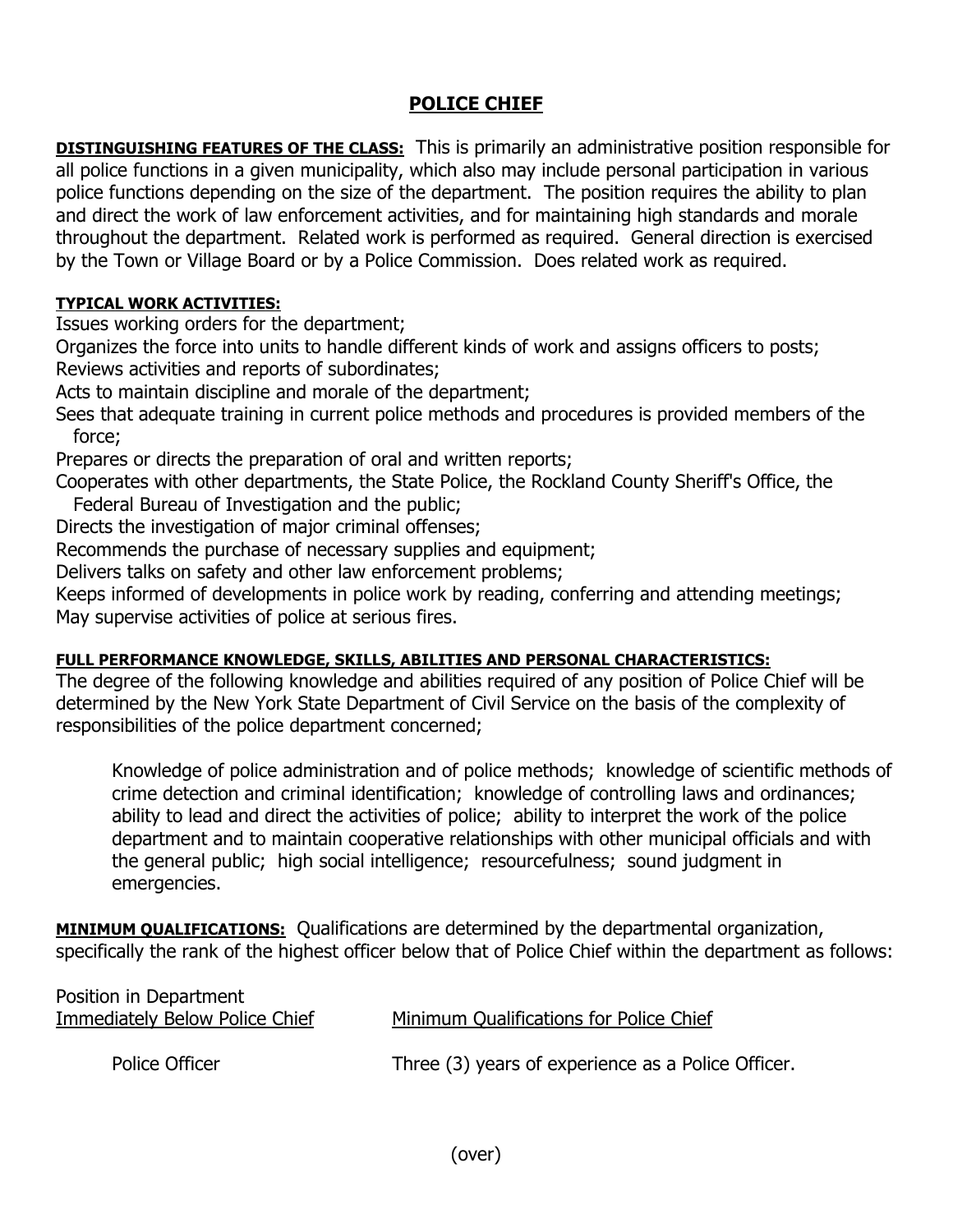## **POLICE CHIEF**

**DISTINGUISHING FEATURES OF THE CLASS:** This is primarily an administrative position responsible for all police functions in a given municipality, which also may include personal participation in various police functions depending on the size of the department. The position requires the ability to plan and direct the work of law enforcement activities, and for maintaining high standards and morale throughout the department. Related work is performed as required. General direction is exercised by the Town or Village Board or by a Police Commission. Does related work as required.

## **TYPICAL WORK ACTIVITIES:**

Issues working orders for the department;

Organizes the force into units to handle different kinds of work and assigns officers to posts; Reviews activities and reports of subordinates;

Acts to maintain discipline and morale of the department;

Sees that adequate training in current police methods and procedures is provided members of the force;

Prepares or directs the preparation of oral and written reports;

Cooperates with other departments, the State Police, the Rockland County Sheriff's Office, the Federal Bureau of Investigation and the public;

Directs the investigation of major criminal offenses;

Recommends the purchase of necessary supplies and equipment;

Delivers talks on safety and other law enforcement problems;

Keeps informed of developments in police work by reading, conferring and attending meetings; May supervise activities of police at serious fires.

## **FULL PERFORMANCE KNOWLEDGE, SKILLS, ABILITIES AND PERSONAL CHARACTERISTICS:**

The degree of the following knowledge and abilities required of any position of Police Chief will be determined by the New York State Department of Civil Service on the basis of the complexity of responsibilities of the police department concerned;

Knowledge of police administration and of police methods; knowledge of scientific methods of crime detection and criminal identification; knowledge of controlling laws and ordinances; ability to lead and direct the activities of police; ability to interpret the work of the police department and to maintain cooperative relationships with other municipal officials and with the general public; high social intelligence; resourcefulness; sound judgment in emergencies.

**MINIMUM QUALIFICATIONS:** Qualifications are determined by the departmental organization, specifically the rank of the highest officer below that of Police Chief within the department as follows:

| Minimum Qualifications for Police Chief            |
|----------------------------------------------------|
|                                                    |
| Three (3) years of experience as a Police Officer. |
|                                                    |